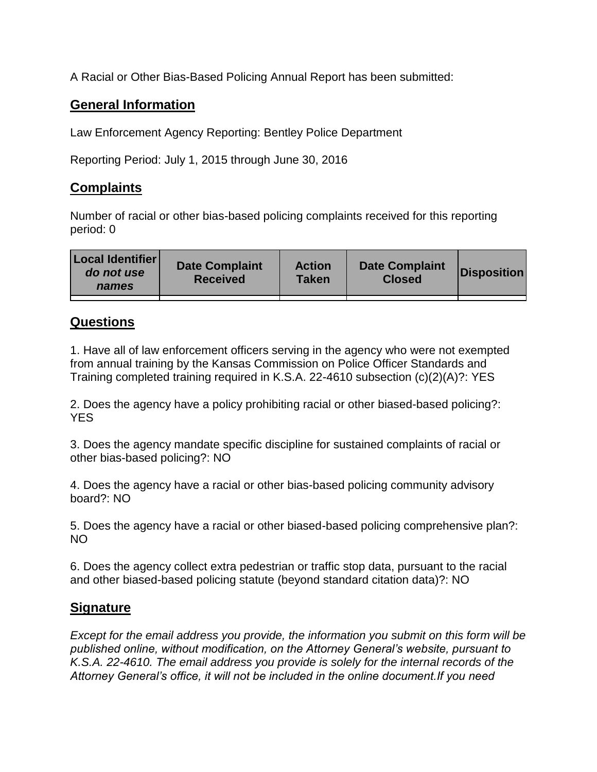A Racial or Other Bias-Based Policing Annual Report has been submitted:

## **General Information**

Law Enforcement Agency Reporting: Bentley Police Department

Reporting Period: July 1, 2015 through June 30, 2016

## **Complaints**

Number of racial or other bias-based policing complaints received for this reporting period: 0

## **Questions**

1. Have all of law enforcement officers serving in the agency who were not exempted from annual training by the Kansas Commission on Police Officer Standards and Training completed training required in K.S.A. 22-4610 subsection (c)(2)(A)?: YES

2. Does the agency have a policy prohibiting racial or other biased-based policing?: YES

3. Does the agency mandate specific discipline for sustained complaints of racial or other bias-based policing?: NO

4. Does the agency have a racial or other bias-based policing community advisory board?: NO

5. Does the agency have a racial or other biased-based policing comprehensive plan?: NO

6. Does the agency collect extra pedestrian or traffic stop data, pursuant to the racial and other biased-based policing statute (beyond standard citation data)?: NO

## **Signature**

*Except for the email address you provide, the information you submit on this form will be published online, without modification, on the Attorney General's website, pursuant to K.S.A. 22-4610. The email address you provide is solely for the internal records of the Attorney General's office, it will not be included in the online document.If you need*